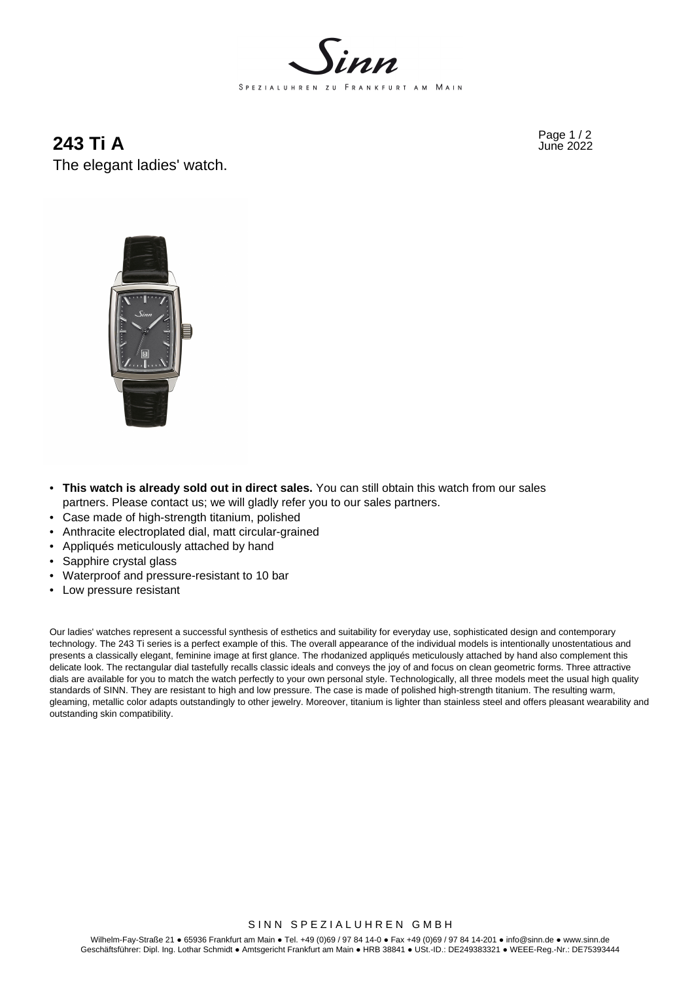

Page 1 / 2 **243 Ti A** June 2022 The elegant ladies' watch.



- **This watch is already sold out in direct sales.** You can still obtain this watch from our sales partners. Please contact us; we will gladly refer you to our sales partners.
- Case made of high-strength titanium, polished
- Anthracite electroplated dial, matt circular-grained
- Appliqués meticulously attached by hand
- Sapphire crystal glass
- Waterproof and pressure-resistant to 10 bar
- Low pressure resistant

Our ladies' watches represent a successful synthesis of esthetics and suitability for everyday use, sophisticated design and contemporary technology. The 243 Ti series is a perfect example of this. The overall appearance of the individual models is intentionally unostentatious and presents a classically elegant, feminine image at first glance. The rhodanized appliqués meticulously attached by hand also complement this delicate look. The rectangular dial tastefully recalls classic ideals and conveys the joy of and focus on clean geometric forms. Three attractive dials are available for you to match the watch perfectly to your own personal style. Technologically, all three models meet the usual high quality standards of SINN. They are resistant to high and low pressure. The case is made of polished high-strength titanium. The resulting warm, gleaming, metallic color adapts outstandingly to other jewelry. Moreover, titanium is lighter than stainless steel and offers pleasant wearability and outstanding skin compatibility.